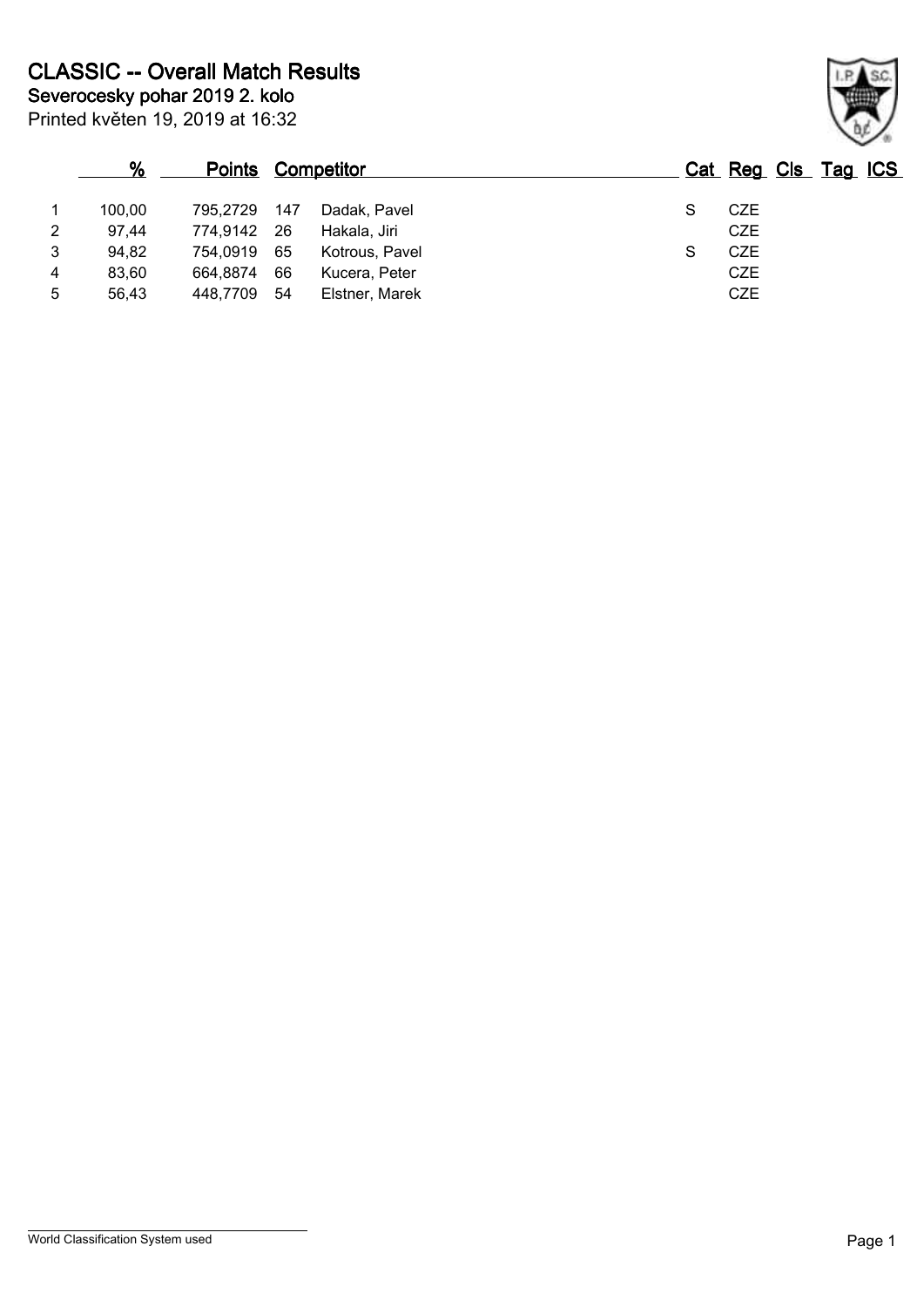|   | $\%$   | <b>Points Competitor</b> |     |                |   | Cat Reg Cls Tag ICS |  |  |
|---|--------|--------------------------|-----|----------------|---|---------------------|--|--|
| 1 | 100.00 | 795.2729                 | 147 | Dadak, Pavel   | S | <b>CZE</b>          |  |  |
| 2 | 97.44  | 774,9142 26              |     | Hakala, Jiri   |   | <b>CZE</b>          |  |  |
| 3 | 94,82  | 754,0919 65              |     | Kotrous, Pavel | S | <b>CZE</b>          |  |  |
| 4 | 83.60  | 664,8874                 | 66  | Kucera, Peter  |   | <b>CZE</b>          |  |  |
| 5 | 56,43  | 448,7709                 | -54 | Elstner, Marek |   | <b>CZE</b>          |  |  |

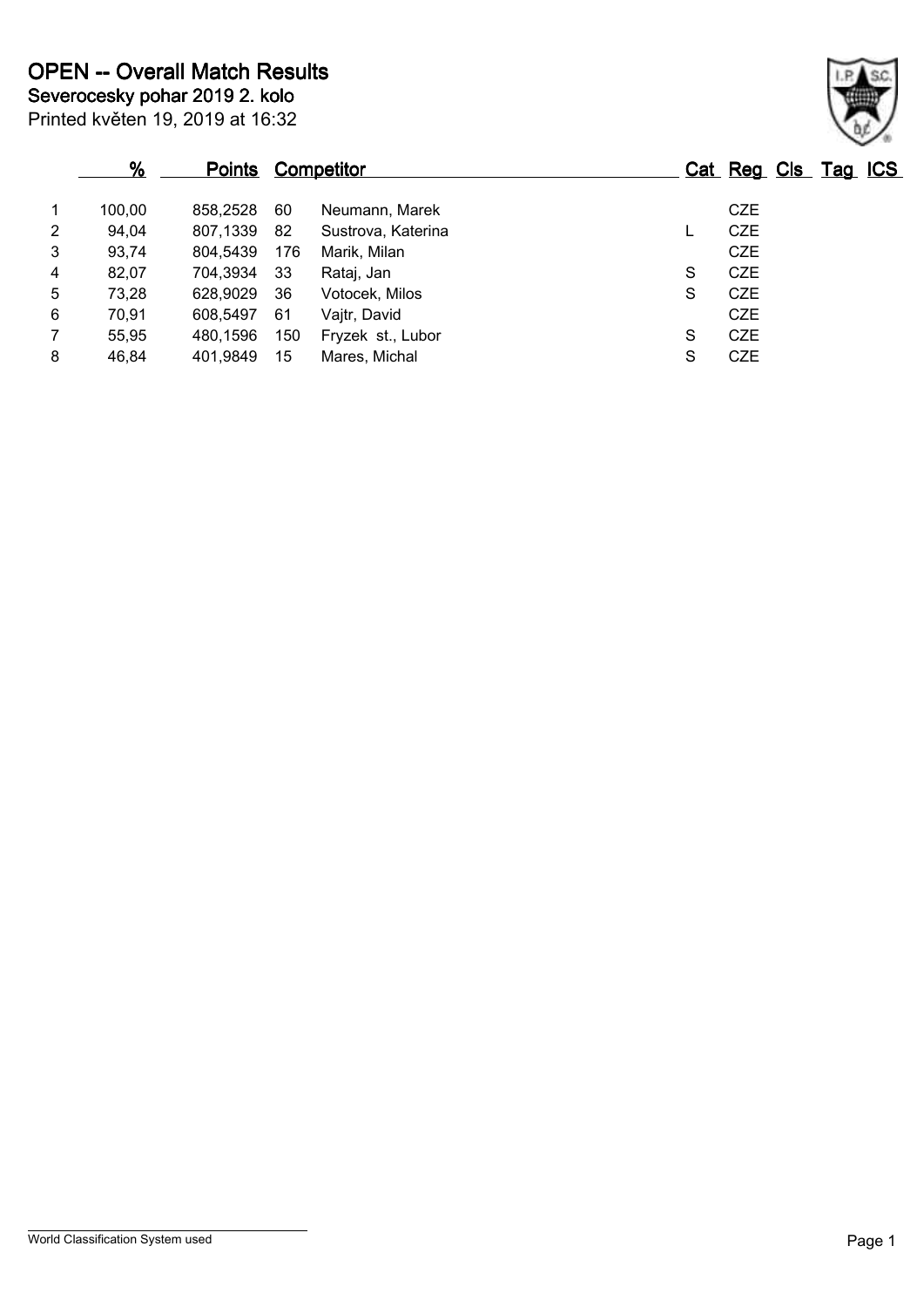|                | $\frac{9}{6}$ | <b>Points Competitor</b> |     |                    |   | Cat Reg Cls Tag ICS |  |  |
|----------------|---------------|--------------------------|-----|--------------------|---|---------------------|--|--|
| $\mathbf 1$    | 100.00        | 858.2528                 | 60  | Neumann, Marek     |   | <b>CZE</b>          |  |  |
| $\overline{2}$ | 94,04         | 807.1339                 | -82 | Sustrova, Katerina |   | <b>CZE</b>          |  |  |
| 3              | 93,74         | 804,5439                 | 176 | Marik, Milan       |   | <b>CZE</b>          |  |  |
| 4              | 82,07         | 704,3934                 | -33 | Rataj, Jan         | S | <b>CZE</b>          |  |  |
| 5              | 73,28         | 628,9029                 | 36  | Votocek, Milos     | S | <b>CZE</b>          |  |  |
| 6              | 70,91         | 608.5497                 | -61 | Vajtr, David       |   | <b>CZE</b>          |  |  |
| $\overline{7}$ | 55,95         | 480.1596                 | 150 | Fryzek st., Lubor  | S | <b>CZE</b>          |  |  |
| 8              | 46,84         | 401.9849                 | 15  | Mares, Michal      | S | <b>CZE</b>          |  |  |

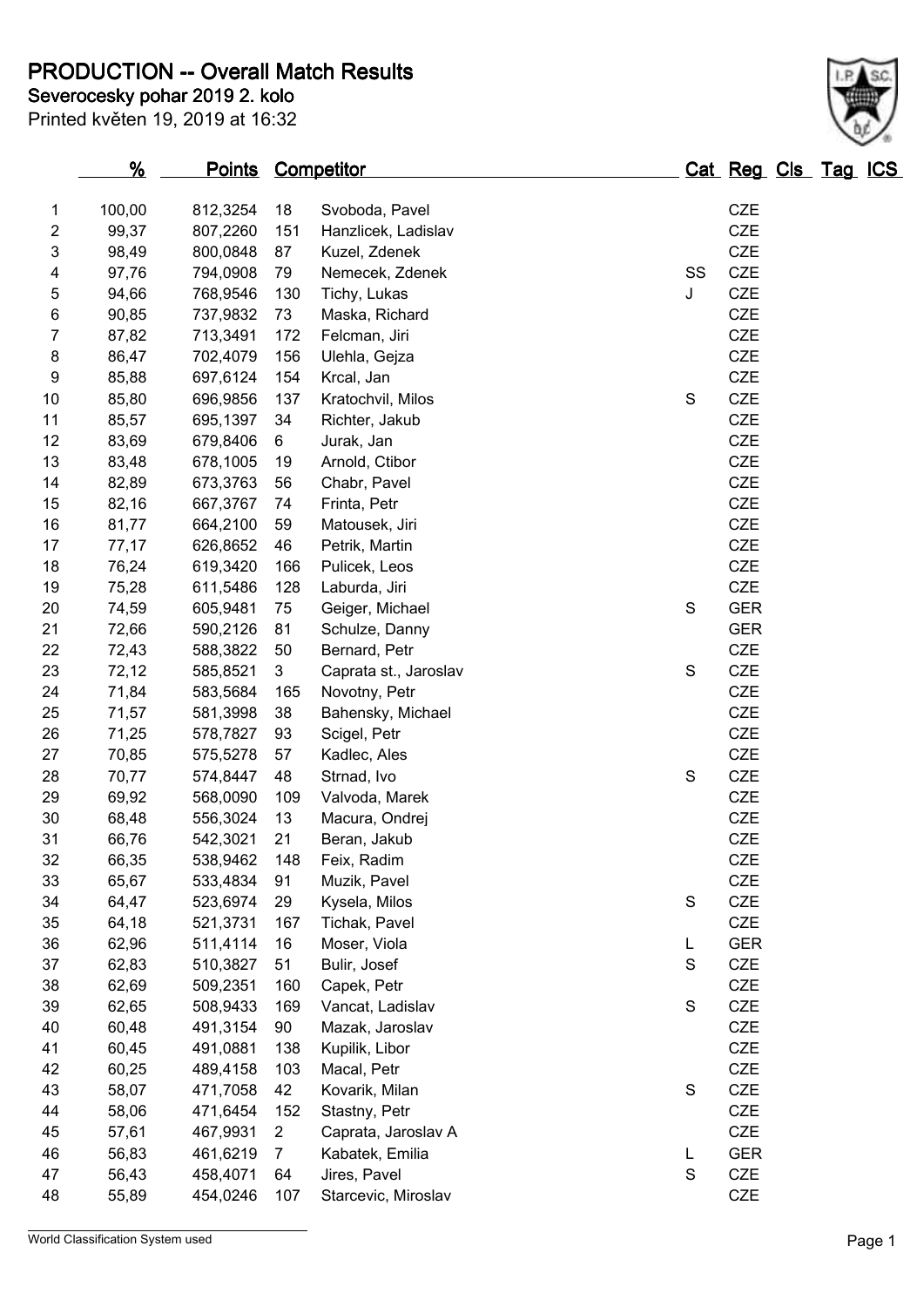**PRODUCTION -- Overall Match Results**

Printed květen 19, 2019 at 16:32 **Severocesky pohar 2019 2. kolo** 

|          | $\frac{9}{6}$  | Points Competitor    |                |                                      |               | Cat Reg Cls Tag ICS |  |  |
|----------|----------------|----------------------|----------------|--------------------------------------|---------------|---------------------|--|--|
| 1        | 100,00         | 812,3254             | 18             | Svoboda, Pavel                       |               | CZE                 |  |  |
| 2        | 99,37          | 807,2260             | 151            | Hanzlicek, Ladislav                  |               | CZE                 |  |  |
| 3        | 98,49          | 800,0848             | 87             | Kuzel, Zdenek                        |               | CZE                 |  |  |
| 4        | 97,76          | 794,0908             | 79             | Nemecek, Zdenek                      | SS            | CZE                 |  |  |
| 5        | 94,66          | 768,9546             | 130            | Tichy, Lukas                         | J             | <b>CZE</b>          |  |  |
| 6        | 90,85          | 737,9832             | 73             | Maska, Richard                       |               | CZE                 |  |  |
| 7        | 87,82          | 713,3491             | 172            | Felcman, Jiri                        |               | CZE                 |  |  |
| 8        | 86,47          | 702,4079             | 156            | Ulehla, Gejza                        |               | CZE                 |  |  |
| 9        | 85,88          | 697,6124             | 154            | Krcal, Jan                           |               | <b>CZE</b>          |  |  |
| 10       | 85,80          | 696,9856             | 137            | Kratochvil, Milos                    | $\mathbf S$   | CZE                 |  |  |
| 11       | 85,57          | 695,1397             | 34             | Richter, Jakub                       |               | <b>CZE</b>          |  |  |
| 12       | 83,69          | 679,8406             | 6              | Jurak, Jan                           |               | <b>CZE</b>          |  |  |
| 13       | 83,48          | 678,1005             | 19             | Arnold, Ctibor                       |               | <b>CZE</b>          |  |  |
| 14       | 82,89          | 673,3763             | 56             | Chabr, Pavel                         |               | <b>CZE</b>          |  |  |
| 15       | 82,16          | 667,3767             | 74             | Frinta, Petr                         |               | CZE                 |  |  |
| 16       | 81,77          | 664,2100             | 59             | Matousek, Jiri                       |               | CZE                 |  |  |
| 17       | 77,17          | 626,8652             | 46             | Petrik, Martin                       |               | <b>CZE</b>          |  |  |
| 18       | 76,24          | 619,3420             | 166            | Pulicek, Leos                        |               | <b>CZE</b>          |  |  |
| 19       | 75,28          | 611,5486             | 128            | Laburda, Jiri                        |               | CZE                 |  |  |
| 20       | 74,59          | 605,9481             | 75             | Geiger, Michael                      | S             | <b>GER</b>          |  |  |
| 21       | 72,66          | 590,2126             | 81             | Schulze, Danny                       |               | <b>GER</b>          |  |  |
| 22       | 72,43          | 588,3822             | 50             | Bernard, Petr                        |               | CZE                 |  |  |
| 23       | 72,12          | 585,8521             | 3              | Caprata st., Jaroslav                | $\mathsf S$   | CZE                 |  |  |
| 24       | 71,84          | 583,5684             | 165            | Novotny, Petr                        |               | CZE                 |  |  |
| 25       | 71,57          | 581,3998             | 38             | Bahensky, Michael                    |               | <b>CZE</b>          |  |  |
| 26       | 71,25          | 578,7827             | 93             | Scigel, Petr                         |               | CZE                 |  |  |
| 27       | 70,85          | 575,5278             | 57             | Kadlec, Ales                         |               | CZE                 |  |  |
| 28       | 70,77          | 574,8447             | 48             | Strnad, Ivo                          | ${\mathsf S}$ | CZE                 |  |  |
| 29       | 69,92          | 568,0090             | 109            | Valvoda, Marek                       |               | <b>CZE</b>          |  |  |
| $30\,$   | 68,48          | 556,3024             | 13             | Macura, Ondrej                       |               | CZE                 |  |  |
| 31       | 66,76          | 542,3021             | 21             | Beran, Jakub                         |               | CZE                 |  |  |
| 32       | 66,35          | 538,9462             | 148            | Feix, Radim                          |               | CZE                 |  |  |
| 33       | 65,67          | 533,4834             | 91             | Muzik, Pavel                         |               | CZE                 |  |  |
| 34       | 64,47          | 523,6974             | 29             | Kysela, Milos                        | S             | CZE                 |  |  |
| 35       | 64,18          | 521,3731             | 167            | Tichak, Pavel                        |               | CZE                 |  |  |
| 36       | 62,96          | 511,4114             | 16             | Moser, Viola                         | L             | <b>GER</b>          |  |  |
| 37       | 62,83          | 510,3827             | 51             | Bulir, Josef                         | $\mathsf S$   | CZE                 |  |  |
| 38       | 62,69          | 509,2351             | 160            | Capek, Petr                          |               | CZE                 |  |  |
| 39       | 62,65          | 508,9433             | 169            | Vancat, Ladislav                     | ${\mathsf S}$ | CZE                 |  |  |
| 40<br>41 | 60,48          | 491,3154<br>491,0881 | 90             | Mazak, Jaroslav<br>Kupilik, Libor    |               | CZE<br><b>CZE</b>   |  |  |
| 42       | 60,45          |                      | 138            |                                      |               | CZE                 |  |  |
|          | 60,25          | 489,4158             | 103            | Macal, Petr                          |               |                     |  |  |
| 43<br>44 | 58,07<br>58,06 | 471,7058<br>471,6454 | 42<br>152      | Kovarik, Milan                       | ${\mathsf S}$ | CZE<br><b>CZE</b>   |  |  |
| 45       | 57,61          | 467,9931             | $\overline{2}$ | Stastny, Petr<br>Caprata, Jaroslav A |               | <b>CZE</b>          |  |  |
| 46       | 56,83          | 461,6219             | $\overline{7}$ | Kabatek, Emilia                      | L             | <b>GER</b>          |  |  |
| 47       | 56,43          | 458,4071             | 64             | Jires, Pavel                         | $\mathsf S$   | CZE                 |  |  |
|          |                |                      |                |                                      |               |                     |  |  |

55,89 454,0246 107 Starcevic, Miroslav CZE

World Classification System used **Page 1** 

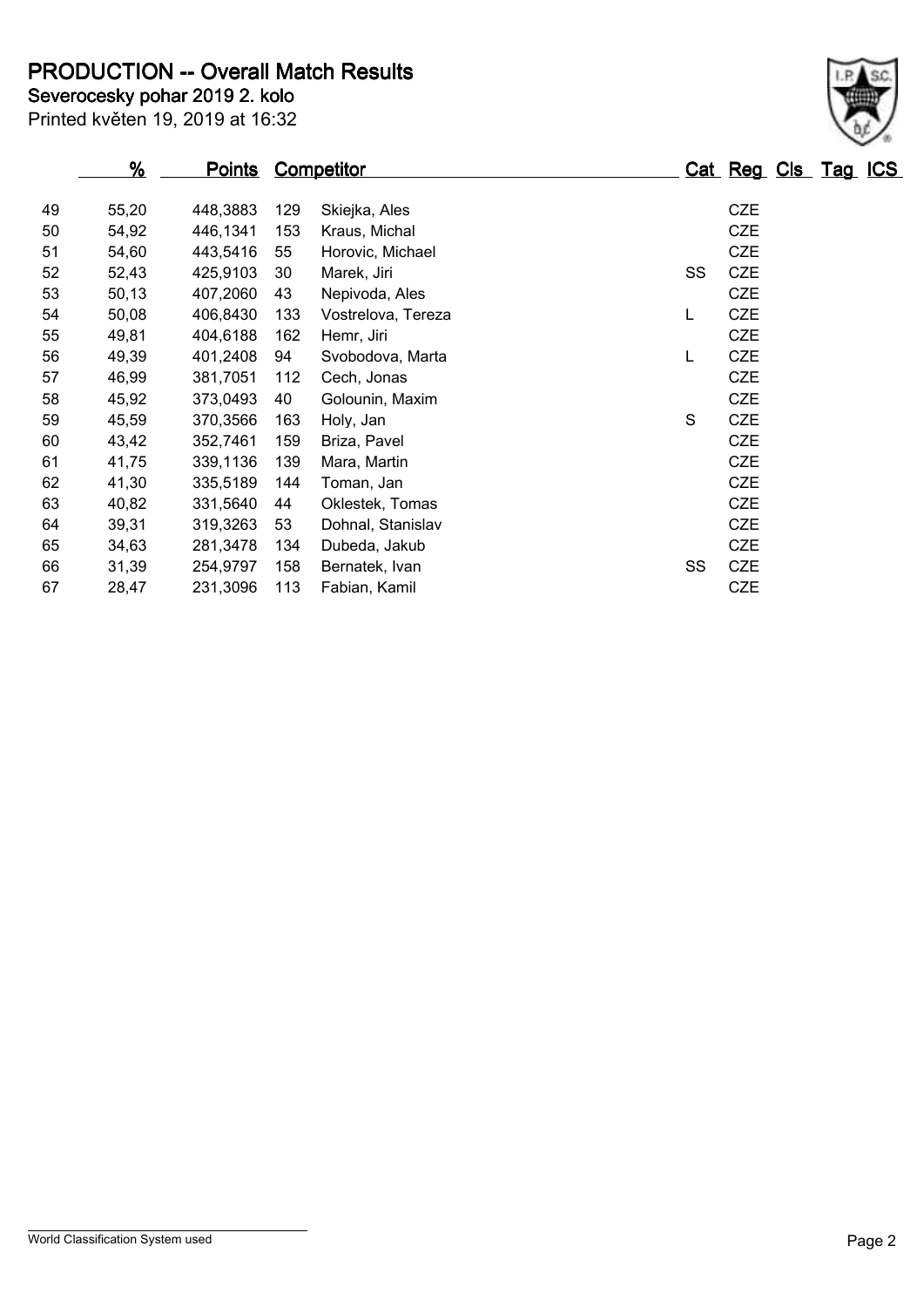**PRODUCTION -- Overall Match Results**

Printed květen 19, 2019 at 16:32 **Severocesky pohar 2019 2. kolo** 

|    | $\frac{9}{6}$ | <u>Points</u> |     | <b>Competitor</b>  |    | Cat Reg Cls Tag ICS |  |  |
|----|---------------|---------------|-----|--------------------|----|---------------------|--|--|
| 49 | 55,20         | 448,3883      | 129 | Skiejka, Ales      |    | <b>CZE</b>          |  |  |
| 50 | 54,92         | 446,1341      | 153 | Kraus, Michal      |    | <b>CZE</b>          |  |  |
| 51 | 54,60         | 443,5416      | 55  | Horovic, Michael   |    | <b>CZE</b>          |  |  |
| 52 | 52,43         | 425,9103      | 30  | Marek, Jiri        | SS | <b>CZE</b>          |  |  |
| 53 | 50,13         | 407,2060      | 43  | Nepivoda, Ales     |    | <b>CZE</b>          |  |  |
| 54 | 50,08         | 406,8430      | 133 | Vostrelova, Tereza | L  | <b>CZE</b>          |  |  |
| 55 | 49,81         | 404,6188      | 162 | Hemr, Jiri         |    | <b>CZE</b>          |  |  |
| 56 | 49,39         | 401,2408      | 94  | Svobodova, Marta   | L  | <b>CZE</b>          |  |  |
| 57 | 46,99         | 381,7051      | 112 | Cech, Jonas        |    | <b>CZE</b>          |  |  |
| 58 | 45,92         | 373,0493      | 40  | Golounin, Maxim    |    | <b>CZE</b>          |  |  |
| 59 | 45,59         | 370,3566      | 163 | Holy, Jan          | S  | <b>CZE</b>          |  |  |
| 60 | 43,42         | 352,7461      | 159 | Briza, Pavel       |    | <b>CZE</b>          |  |  |
| 61 | 41,75         | 339,1136      | 139 | Mara, Martin       |    | <b>CZE</b>          |  |  |
| 62 | 41,30         | 335,5189      | 144 | Toman, Jan         |    | <b>CZE</b>          |  |  |
| 63 | 40,82         | 331,5640      | 44  | Oklestek, Tomas    |    | <b>CZE</b>          |  |  |
| 64 | 39,31         | 319,3263      | 53  | Dohnal, Stanislav  |    | <b>CZE</b>          |  |  |
| 65 | 34,63         | 281,3478      | 134 | Dubeda, Jakub      |    | <b>CZE</b>          |  |  |
| 66 | 31,39         | 254,9797      | 158 | Bernatek, Ivan     | SS | <b>CZE</b>          |  |  |
| 67 | 28,47         | 231,3096      | 113 | Fabian, Kamil      |    | CZE                 |  |  |

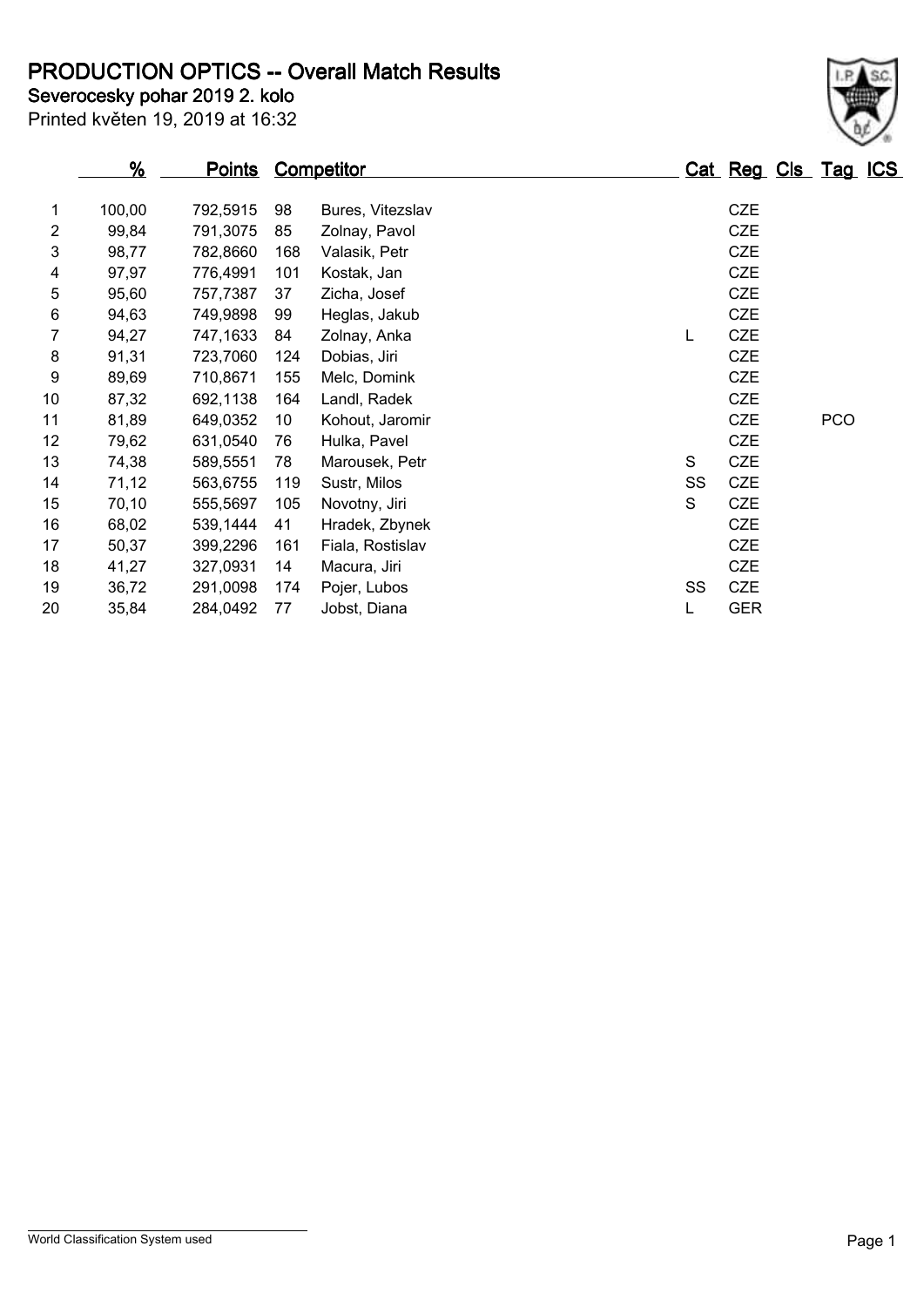**PRODUCTION OPTICS -- Overall Match Results**

**Severocesky pohar 2019 2. kolo** 

Printed květen 19, 2019 at 16:32

|    | $\frac{9}{6}$ | <u>Points</u> |     | <b>Competitor</b> |    | Cat Reg Cls Tag ICS |            |  |
|----|---------------|---------------|-----|-------------------|----|---------------------|------------|--|
| 1  | 100,00        | 792,5915      | 98  | Bures, Vitezslav  |    | <b>CZE</b>          |            |  |
| 2  | 99,84         | 791,3075      | 85  | Zolnay, Pavol     |    | <b>CZE</b>          |            |  |
| 3  | 98,77         | 782,8660      | 168 | Valasik, Petr     |    | <b>CZE</b>          |            |  |
| 4  | 97,97         | 776,4991      | 101 | Kostak, Jan       |    | CZE                 |            |  |
| 5  | 95,60         | 757,7387      | 37  | Zicha, Josef      |    | <b>CZE</b>          |            |  |
| 6  | 94,63         | 749,9898      | 99  | Heglas, Jakub     |    | <b>CZE</b>          |            |  |
| 7  | 94,27         | 747,1633      | 84  | Zolnay, Anka      | L  | <b>CZE</b>          |            |  |
| 8  | 91,31         | 723,7060      | 124 | Dobias, Jiri      |    | <b>CZE</b>          |            |  |
| 9  | 89,69         | 710,8671      | 155 | Melc, Domink      |    | <b>CZE</b>          |            |  |
| 10 | 87,32         | 692,1138      | 164 | Landl, Radek      |    | <b>CZE</b>          |            |  |
| 11 | 81,89         | 649,0352      | 10  | Kohout, Jaromir   |    | <b>CZE</b>          | <b>PCO</b> |  |
| 12 | 79,62         | 631,0540      | 76  | Hulka, Pavel      |    | <b>CZE</b>          |            |  |
| 13 | 74,38         | 589,5551      | 78  | Marousek, Petr    | S  | <b>CZE</b>          |            |  |
| 14 | 71,12         | 563,6755      | 119 | Sustr, Milos      | SS | <b>CZE</b>          |            |  |
| 15 | 70,10         | 555,5697      | 105 | Novotny, Jiri     | S  | <b>CZE</b>          |            |  |
| 16 | 68,02         | 539,1444      | 41  | Hradek, Zbynek    |    | <b>CZE</b>          |            |  |
| 17 | 50,37         | 399,2296      | 161 | Fiala, Rostislav  |    | <b>CZE</b>          |            |  |
| 18 | 41,27         | 327,0931      | 14  | Macura, Jiri      |    | <b>CZE</b>          |            |  |
| 19 | 36,72         | 291,0098      | 174 | Pojer, Lubos      | SS | CZE                 |            |  |
| 20 | 35,84         | 284,0492      | 77  | Jobst, Diana      | L  | <b>GER</b>          |            |  |

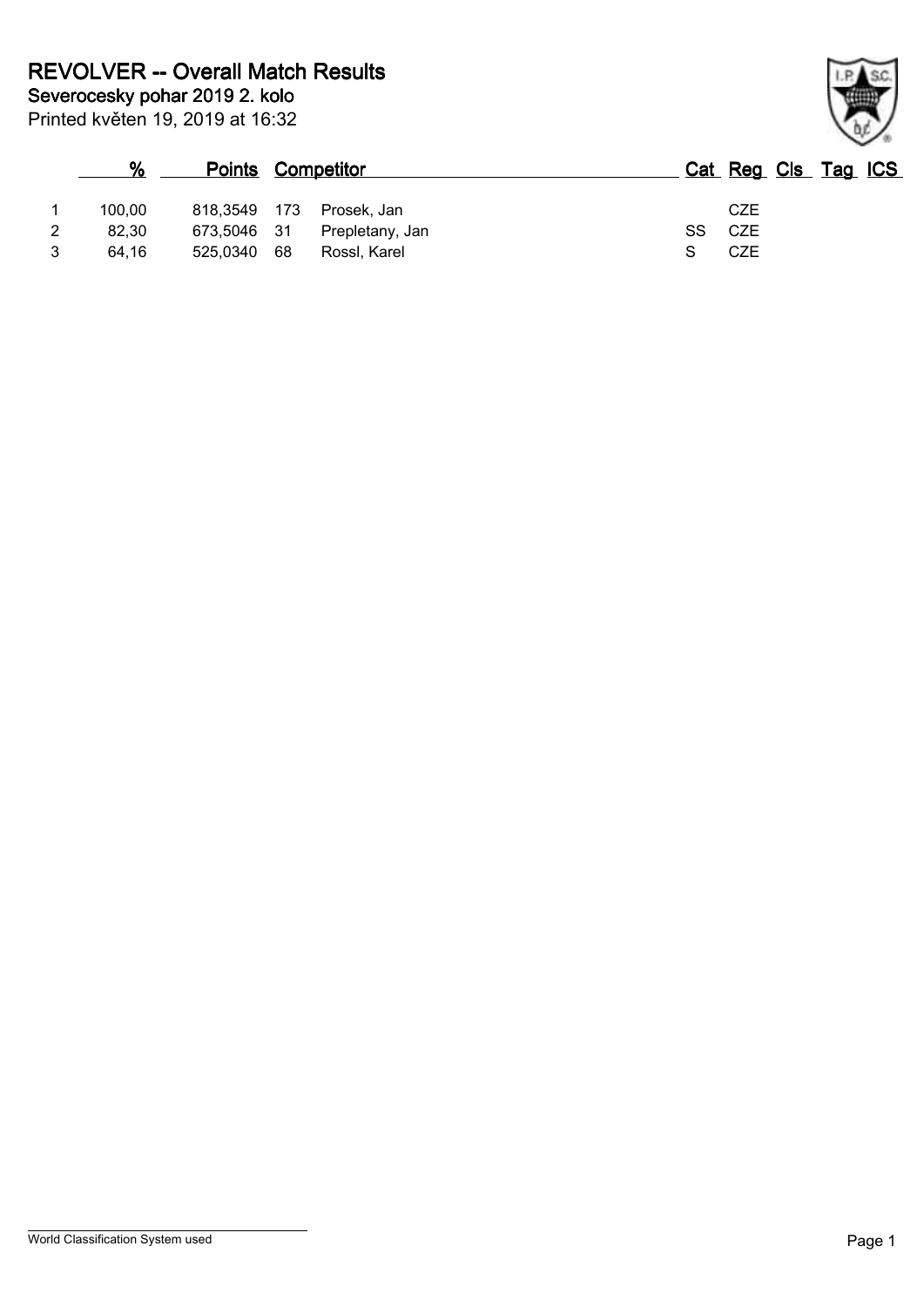|   | %      |             | <b>Points Competitor</b> |     | Cat Reg Cls Tag ICS |
|---|--------|-------------|--------------------------|-----|---------------------|
|   | 100.00 | 818.3549    | - 173<br>Prosek, Jan     |     | CZE                 |
| 2 | 82.30  | 673.5046 31 | Prepletany, Jan          | SS. | CZE                 |
| 3 | 64.16  | 525,0340    | 68<br>Rossl, Karel       |     | CZE                 |

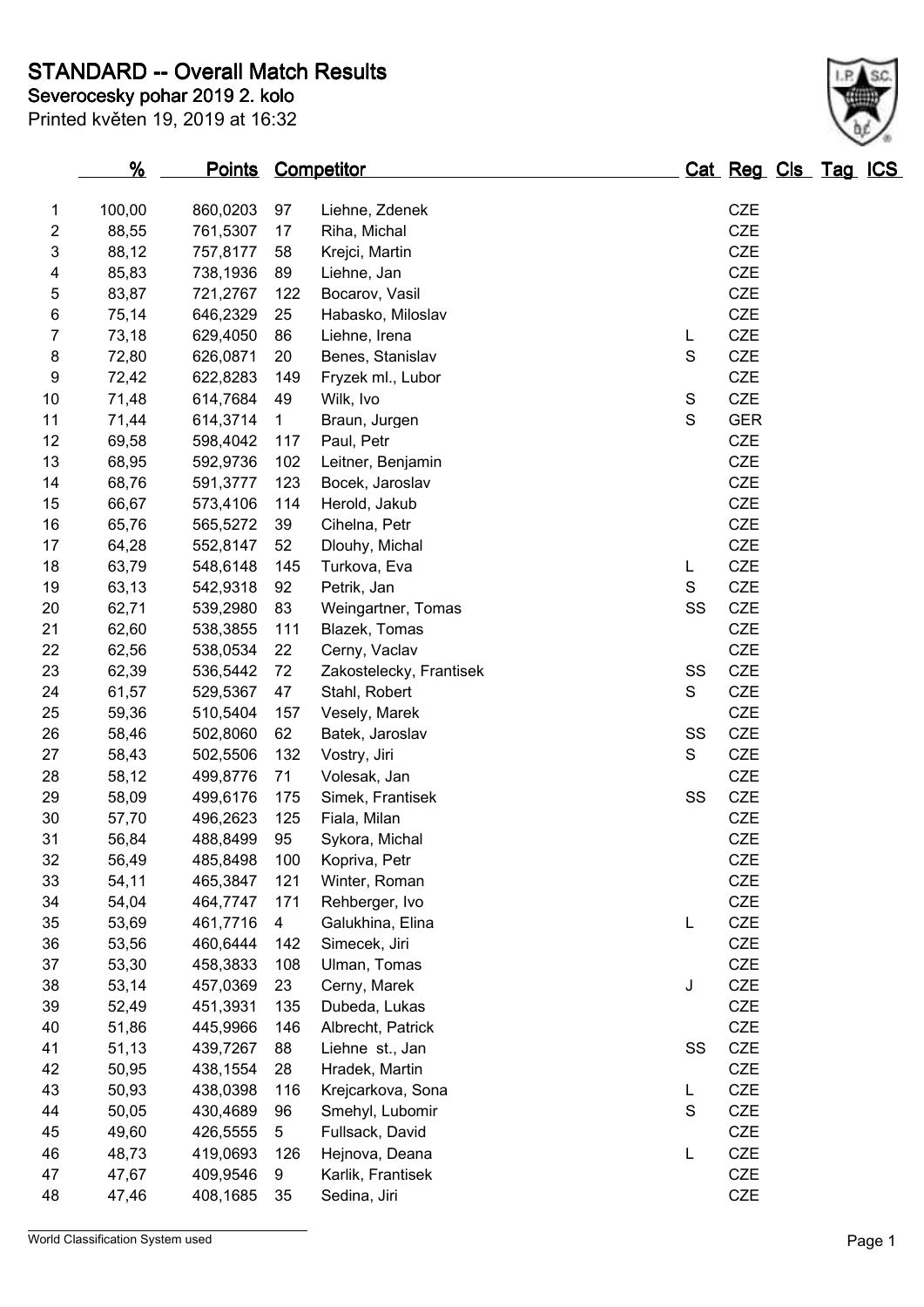**STANDARD -- Overall Match Results**

Printed květen 19, 2019 at 16:32

## **Severocesky pohar 2019 2. kolo**

|                     | <u>%</u>       | <b>Points Competitor</b> |              |                                       |             | Cat Reg Cls Tag ICS |  |  |
|---------------------|----------------|--------------------------|--------------|---------------------------------------|-------------|---------------------|--|--|
| 1                   | 100,00         | 860,0203                 | 97           | Liehne, Zdenek                        |             | <b>CZE</b>          |  |  |
| $\overline{c}$      | 88,55          | 761,5307                 | 17           | Riha, Michal                          |             | <b>CZE</b>          |  |  |
| 3                   | 88,12          | 757,8177                 | 58           | Krejci, Martin                        |             | CZE                 |  |  |
| 4                   | 85,83          | 738,1936                 | 89           | Liehne, Jan                           |             | CZE                 |  |  |
| 5                   | 83,87          | 721,2767                 | 122          | Bocarov, Vasil                        |             | <b>CZE</b>          |  |  |
|                     | 75,14          |                          | 25           |                                       |             | <b>CZE</b>          |  |  |
| 6<br>$\overline{7}$ |                | 646,2329                 |              | Habasko, Miloslav                     |             | <b>CZE</b>          |  |  |
| 8                   | 73,18<br>72,80 | 629,4050<br>626,0871     | 86<br>20     | Liehne, Irena                         | L<br>S      | <b>CZE</b>          |  |  |
| 9                   | 72,42          | 622,8283                 | 149          | Benes, Stanislav<br>Fryzek ml., Lubor |             | <b>CZE</b>          |  |  |
| 10                  |                |                          | 49           |                                       | S           | <b>CZE</b>          |  |  |
| 11                  | 71,48<br>71,44 | 614,7684                 | $\mathbf{1}$ | Wilk, Ivo                             | S           | <b>GER</b>          |  |  |
| 12                  |                | 614,3714                 |              | Braun, Jurgen                         |             | CZE                 |  |  |
| 13                  | 69,58          | 598,4042                 | 117          | Paul, Petr                            |             | <b>CZE</b>          |  |  |
|                     | 68,95          | 592,9736                 | 102          | Leitner, Benjamin                     |             | <b>CZE</b>          |  |  |
| 14                  | 68,76          | 591,3777                 | 123          | Bocek, Jaroslav                       |             |                     |  |  |
| 15                  | 66,67          | 573,4106                 | 114          | Herold, Jakub                         |             | CZE                 |  |  |
| 16                  | 65,76          | 565,5272                 | 39           | Cihelna, Petr                         |             | CZE                 |  |  |
| 17                  | 64,28          | 552,8147                 | 52           | Dlouhy, Michal                        |             | <b>CZE</b>          |  |  |
| 18                  | 63,79          | 548,6148                 | 145          | Turkova, Eva                          | L           | <b>CZE</b>          |  |  |
| 19                  | 63,13          | 542,9318                 | 92           | Petrik, Jan                           | $\mathbf S$ | <b>CZE</b>          |  |  |
| 20                  | 62,71          | 539,2980                 | 83           | Weingartner, Tomas                    | SS          | <b>CZE</b>          |  |  |
| 21                  | 62,60          | 538,3855                 | 111          | Blazek, Tomas                         |             | <b>CZE</b>          |  |  |
| 22                  | 62,56          | 538,0534                 | 22           | Cerny, Vaclav                         |             | <b>CZE</b>          |  |  |
| 23                  | 62,39          | 536,5442                 | 72           | Zakostelecky, Frantisek               | SS          | <b>CZE</b>          |  |  |
| 24                  | 61,57          | 529,5367                 | 47           | Stahl, Robert                         | $\mathbf S$ | <b>CZE</b>          |  |  |
| 25                  | 59,36          | 510,5404                 | 157          | Vesely, Marek                         |             | <b>CZE</b>          |  |  |
| 26                  | 58,46          | 502,8060                 | 62           | Batek, Jaroslav                       | SS          | <b>CZE</b>          |  |  |
| 27                  | 58,43          | 502,5506                 | 132          | Vostry, Jiri                          | $\mathbf S$ | CZE                 |  |  |
| 28                  | 58,12          | 499,8776                 | 71           | Volesak, Jan                          |             | <b>CZE</b>          |  |  |
| 29                  | 58,09          | 499,6176                 | 175          | Simek, Frantisek                      | SS          | <b>CZE</b>          |  |  |
| 30                  | 57,70          | 496,2623                 | 125          | Fiala, Milan                          |             | <b>CZE</b>          |  |  |
| 31                  | 56,84          | 488,8499                 | 95           | Sykora, Michal                        |             | <b>CZE</b>          |  |  |
| 32                  | 56,49          | 485,8498                 | 100          | Kopriva, Petr                         |             | <b>CZE</b>          |  |  |
| 33                  | 54,11          | 465,3847                 | 121          | Winter, Roman                         |             | <b>CZE</b>          |  |  |
| 34                  | 54,04          | 464,7747                 | 171          | Rehberger, Ivo                        |             | <b>CZE</b>          |  |  |
| 35                  | 53,69          | 461,7716                 | 4            | Galukhina, Elina                      | L           | CZE                 |  |  |
| 36                  | 53,56          | 460,6444                 | 142          | Simecek, Jiri                         |             | CZE                 |  |  |
| 37                  | 53,30          | 458,3833                 | 108          | Ulman, Tomas                          |             | CZE                 |  |  |
| 38                  | 53,14          | 457,0369                 | 23           | Cerny, Marek                          | J           | <b>CZE</b>          |  |  |
| 39                  | 52,49          | 451,3931                 | 135          | Dubeda, Lukas                         |             | CZE                 |  |  |
| 40                  | 51,86          | 445,9966                 | 146          | Albrecht, Patrick                     |             | CZE                 |  |  |
| 41                  | 51,13          | 439,7267                 | 88           | Liehne st., Jan                       | SS          | <b>CZE</b>          |  |  |
| 42                  | 50,95          | 438,1554                 | 28           | Hradek, Martin                        |             | <b>CZE</b>          |  |  |
| 43                  | 50,93          | 438,0398                 | 116          | Krejcarkova, Sona                     | L           | CZE                 |  |  |
| 44                  | 50,05          | 430,4689                 | 96           | Smehyl, Lubomir                       | S           | CZE                 |  |  |
| 45                  | 49,60          | 426,5555                 | 5            | Fullsack, David                       |             | CZE                 |  |  |
| 46                  | 48,73          | 419,0693                 | 126          | Hejnova, Deana                        | L           | <b>CZE</b>          |  |  |
| 47                  | 47,67          | 409,9546                 | 9            | Karlik, Frantisek                     |             | CZE                 |  |  |
| 48                  | 47,46          | 408,1685                 | 35           | Sedina, Jiri                          |             | CZE                 |  |  |
|                     |                |                          |              |                                       |             |                     |  |  |

World Classification System used **Page 1** 



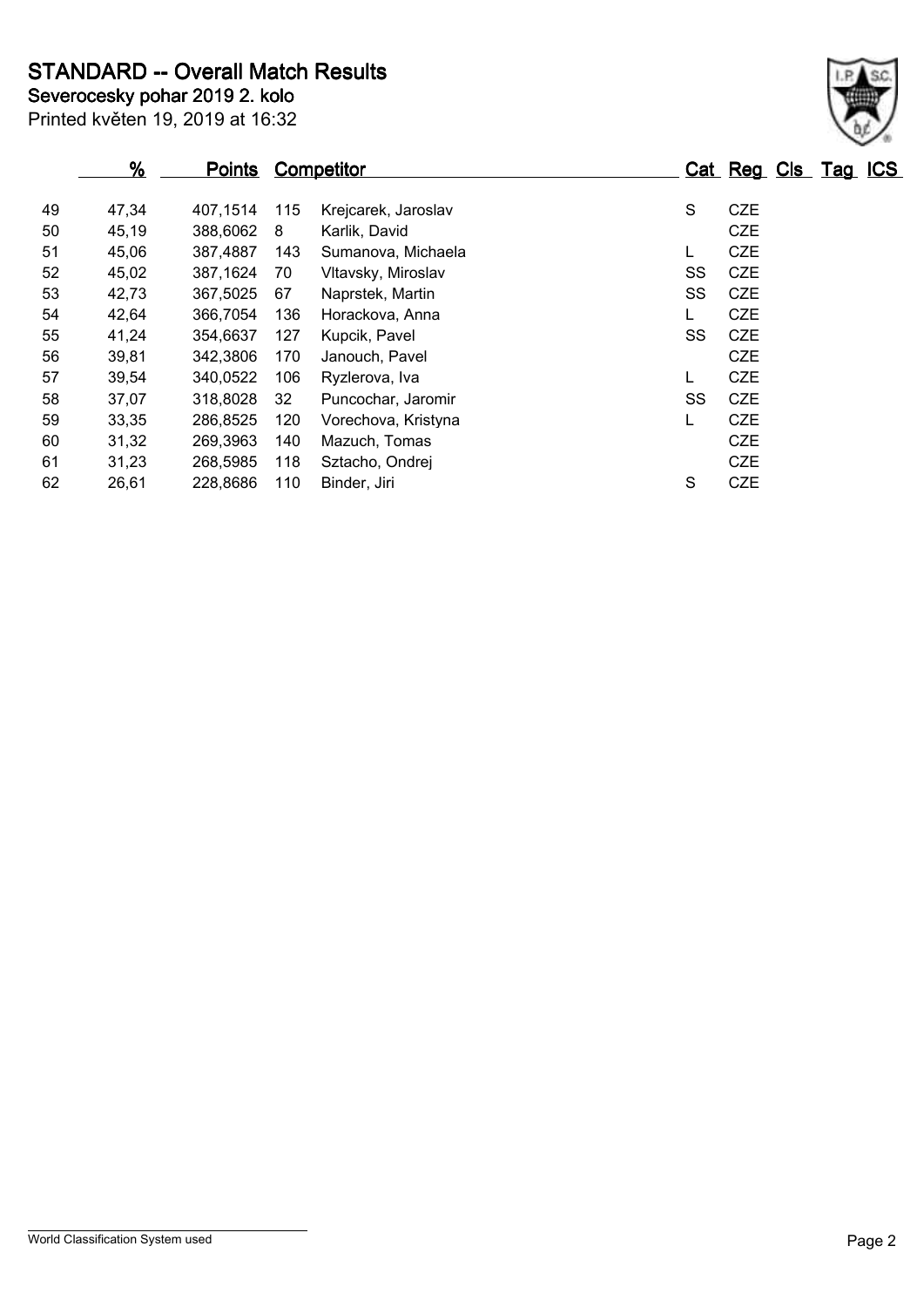**STANDARD -- Overall Match Results**

Printed květen 19, 2019 at 16:32 **Severocesky pohar 2019 2. kolo** 

|    | %     | <b>Points</b> |     | Competitor          |    | Cat Reg Cls Tag ICS |  |  |
|----|-------|---------------|-----|---------------------|----|---------------------|--|--|
| 49 | 47,34 | 407.1514      | 115 | Krejcarek, Jaroslav | S  | <b>CZE</b>          |  |  |
| 50 | 45,19 | 388,6062      | 8   | Karlik, David       |    | <b>CZE</b>          |  |  |
| 51 | 45,06 | 387,4887      | 143 | Sumanova, Michaela  | L  | <b>CZE</b>          |  |  |
| 52 | 45,02 | 387,1624      | 70  | Vltavsky, Miroslav  | SS | <b>CZE</b>          |  |  |
| 53 | 42,73 | 367,5025      | 67  | Naprstek, Martin    | SS | <b>CZE</b>          |  |  |
| 54 | 42,64 | 366,7054      | 136 | Horackova, Anna     |    | <b>CZE</b>          |  |  |
| 55 | 41,24 | 354,6637      | 127 | Kupcik, Pavel       | SS | <b>CZE</b>          |  |  |
| 56 | 39,81 | 342,3806      | 170 | Janouch, Pavel      |    | <b>CZE</b>          |  |  |
| 57 | 39,54 | 340,0522      | 106 | Ryzlerova, Iva      |    | <b>CZE</b>          |  |  |
| 58 | 37,07 | 318,8028      | 32  | Puncochar, Jaromir  | SS | <b>CZE</b>          |  |  |
| 59 | 33,35 | 286,8525      | 120 | Vorechova, Kristyna |    | <b>CZE</b>          |  |  |
| 60 | 31,32 | 269,3963      | 140 | Mazuch, Tomas       |    | <b>CZE</b>          |  |  |
| 61 | 31,23 | 268,5985      | 118 | Sztacho, Ondrej     |    | <b>CZE</b>          |  |  |
| 62 | 26,61 | 228,8686      | 110 | Binder, Jiri        | S  | <b>CZE</b>          |  |  |